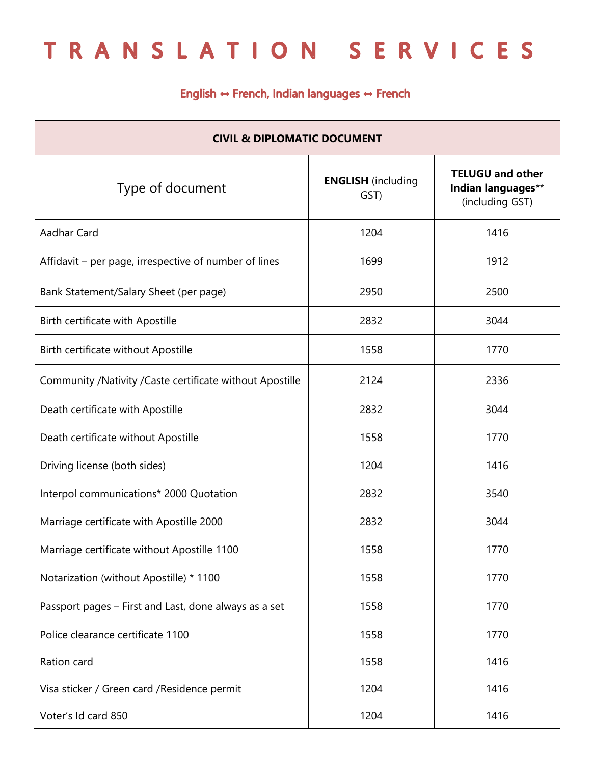## TRANSLATION SERVICES

## English ↔ French, Indian languages ↔ French

| <b>CIVIL &amp; DIPLOMATIC DOCUMENT</b>                   |                                   |                                                                  |  |  |
|----------------------------------------------------------|-----------------------------------|------------------------------------------------------------------|--|--|
| Type of document                                         | <b>ENGLISH</b> (including<br>GST) | <b>TELUGU and other</b><br>Indian languages**<br>(including GST) |  |  |
| Aadhar Card                                              | 1204                              | 1416                                                             |  |  |
| Affidavit – per page, irrespective of number of lines    | 1699                              | 1912                                                             |  |  |
| Bank Statement/Salary Sheet (per page)                   | 2950                              | 2500                                                             |  |  |
| Birth certificate with Apostille                         | 2832                              | 3044                                                             |  |  |
| Birth certificate without Apostille                      | 1558                              | 1770                                                             |  |  |
| Community /Nativity /Caste certificate without Apostille | 2124                              | 2336                                                             |  |  |
| Death certificate with Apostille                         | 2832                              | 3044                                                             |  |  |
| Death certificate without Apostille                      | 1558                              | 1770                                                             |  |  |
| Driving license (both sides)                             | 1204                              | 1416                                                             |  |  |
| Interpol communications* 2000 Quotation                  | 2832                              | 3540                                                             |  |  |
| Marriage certificate with Apostille 2000                 | 2832                              | 3044                                                             |  |  |
| Marriage certificate without Apostille 1100              | 1558                              | 1770                                                             |  |  |
| Notarization (without Apostille) * 1100                  | 1558                              | 1770                                                             |  |  |
| Passport pages – First and Last, done always as a set    | 1558                              | 1770                                                             |  |  |
| Police clearance certificate 1100                        | 1558                              | 1770                                                             |  |  |
| Ration card                                              | 1558                              | 1416                                                             |  |  |
| Visa sticker / Green card / Residence permit             | 1204                              | 1416                                                             |  |  |
| Voter's Id card 850                                      | 1204                              | 1416                                                             |  |  |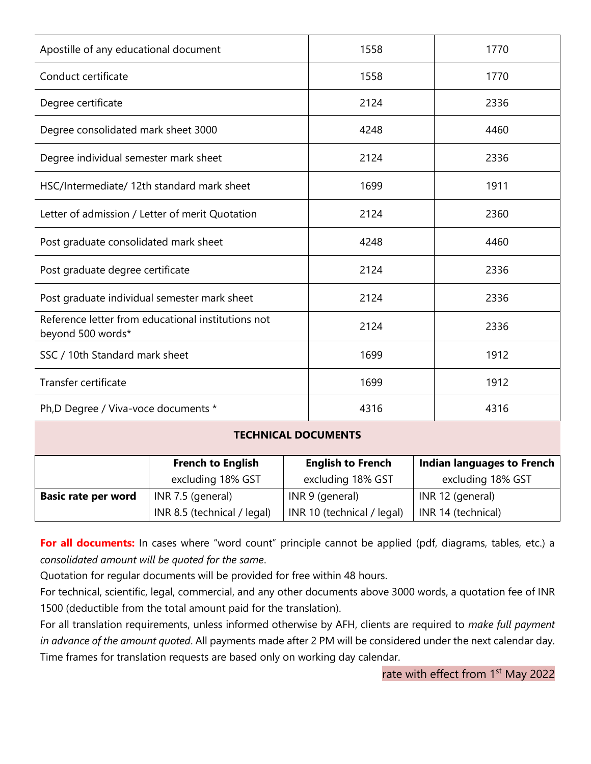| Apostille of any educational document                                   | 1558 | 1770 |
|-------------------------------------------------------------------------|------|------|
| Conduct certificate                                                     | 1558 | 1770 |
| Degree certificate                                                      | 2124 | 2336 |
| Degree consolidated mark sheet 3000                                     | 4248 | 4460 |
| Degree individual semester mark sheet                                   | 2124 | 2336 |
| HSC/Intermediate/ 12th standard mark sheet                              | 1699 | 1911 |
| Letter of admission / Letter of merit Quotation                         | 2124 | 2360 |
| Post graduate consolidated mark sheet                                   | 4248 | 4460 |
| Post graduate degree certificate                                        | 2124 | 2336 |
| Post graduate individual semester mark sheet                            | 2124 | 2336 |
| Reference letter from educational institutions not<br>beyond 500 words* | 2124 | 2336 |
| SSC / 10th Standard mark sheet                                          | 1699 | 1912 |
| Transfer certificate                                                    | 1699 | 1912 |
| Ph,D Degree / Viva-voce documents *                                     | 4316 | 4316 |

## **TECHNICAL DOCUMENTS**

|                            | <b>French to English</b>    | <b>English to French</b>   | <b>Indian languages to French</b> |
|----------------------------|-----------------------------|----------------------------|-----------------------------------|
|                            | excluding 18% GST           | excluding 18% GST          | excluding 18% GST                 |
| <b>Basic rate per word</b> | INR 7.5 (general)           | INR 9 (general)            | INR 12 (general)                  |
|                            | INR 8.5 (technical / legal) | INR 10 (technical / legal) | INR 14 (technical)                |

For all documents: In cases where "word count" principle cannot be applied (pdf, diagrams, tables, etc.) a *consolidated amount will be quoted for the same*.

Quotation for regular documents will be provided for free within 48 hours.

For technical, scientific, legal, commercial, and any other documents above 3000 words, a quotation fee of INR 1500 (deductible from the total amount paid for the translation).

For all translation requirements, unless informed otherwise by AFH, clients are required to *make full payment in advance of the amount quoted*. All payments made after 2 PM will be considered under the next calendar day. Time frames for translation requests are based only on working day calendar.